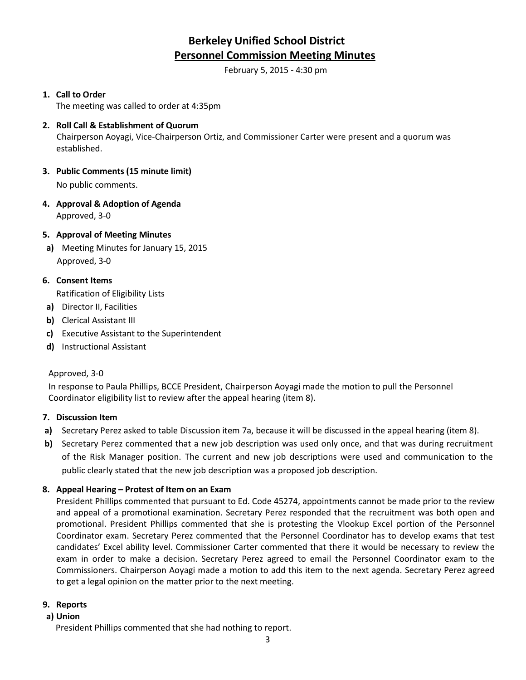# **Berkeley Unified School District Personnel Commission Meeting Minutes**

February 5, 2015 - 4:30 pm

## **1. Call to Order**

The meeting was called to order at 4:35pm

## **2. Roll Call & Establishment of Quorum** Chairperson Aoyagi, Vice-Chairperson Ortiz, and Commissioner Carter were present and a quorum was established.

- **3. Public Comments (15 minute limit)** No public comments.
- **4. Approval & Adoption of Agenda** Approved, 3-0

# **5. Approval of Meeting Minutes**

**a)** Meeting Minutes for January 15, 2015 Approved, 3-0

# **6. Consent Items**

Ratification of Eligibility Lists

- **a)** Director II, Facilities
- **b)** Clerical Assistant III
- **c)** Executive Assistant to the Superintendent
- **d)** Instructional Assistant

### Approved, 3-0

In response to Paula Phillips, BCCE President, Chairperson Aoyagi made the motion to pull the Personnel Coordinator eligibility list to review after the appeal hearing (item 8).

### **7. Discussion Item**

- **a)** Secretary Perez asked to table Discussion item 7a, because it will be discussed in the appeal hearing (item 8).
- **b)** Secretary Perez commented that a new job description was used only once, and that was during recruitment of the Risk Manager position. The current and new job descriptions were used and communication to the public clearly stated that the new job description was a proposed job description.

### **8. Appeal Hearing – Protest of Item on an Exam**

President Phillips commented that pursuant to Ed. Code 45274, appointments cannot be made prior to the review and appeal of a promotional examination. Secretary Perez responded that the recruitment was both open and promotional. President Phillips commented that she is protesting the Vlookup Excel portion of the Personnel Coordinator exam. Secretary Perez commented that the Personnel Coordinator has to develop exams that test candidates' Excel ability level. Commissioner Carter commented that there it would be necessary to review the exam in order to make a decision. Secretary Perez agreed to email the Personnel Coordinator exam to the Commissioners. Chairperson Aoyagi made a motion to add this item to the next agenda. Secretary Perez agreed to get a legal opinion on the matter prior to the next meeting.

### **9. Reports**

### **a) Union**

President Phillips commented that she had nothing to report.